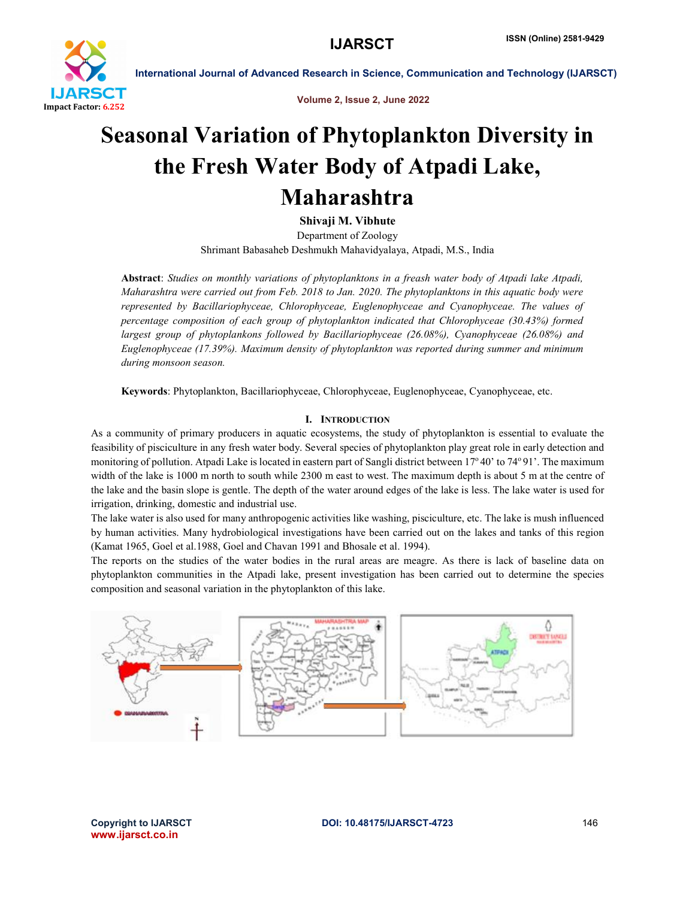

Volume 2, Issue 2, June 2022

## Seasonal Variation of Phytoplankton Diversity in the Fresh Water Body of Atpadi Lake, Maharashtra

Shivaji M. Vibhute

Department of Zoology Shrimant Babasaheb Deshmukh Mahavidyalaya, Atpadi, M.S., India

Abstract: *Studies on monthly variations of phytoplanktons in a freash water body of Atpadi lake Atpadi, Maharashtra were carried out from Feb. 2018 to Jan. 2020. The phytoplanktons in this aquatic body were represented by Bacillariophyceae, Chlorophyceae, Euglenophyceae and Cyanophyceae. The values of percentage composition of each group of phytoplankton indicated that Chlorophyceae (30.43%) formed largest group of phytoplankons followed by Bacillariophyceae (26.08%), Cyanophyceae (26.08%) and Euglenophyceae (17.39%). Maximum density of phytoplankton was reported during summer and minimum during monsoon season.* 

Keywords: Phytoplankton, Bacillariophyceae, Chlorophyceae, Euglenophyceae, Cyanophyceae, etc.

### I. INTRODUCTION

As a community of primary producers in aquatic ecosystems, the study of phytoplankton is essential to evaluate the feasibility of pisciculture in any fresh water body. Several species of phytoplankton play great role in early detection and monitoring of pollution. Atpadi Lake is located in eastern part of Sangli district between 17°40' to 74°91'. The maximum width of the lake is 1000 m north to south while 2300 m east to west. The maximum depth is about 5 m at the centre of the lake and the basin slope is gentle. The depth of the water around edges of the lake is less. The lake water is used for irrigation, drinking, domestic and industrial use.

The lake water is also used for many anthropogenic activities like washing, pisciculture, etc. The lake is mush influenced by human activities. Many hydrobiological investigations have been carried out on the lakes and tanks of this region (Kamat 1965, Goel et al.1988, Goel and Chavan 1991 and Bhosale et al. 1994).

The reports on the studies of the water bodies in the rural areas are meagre. As there is lack of baseline data on phytoplankton communities in the Atpadi lake, present investigation has been carried out to determine the species composition and seasonal variation in the phytoplankton of this lake.

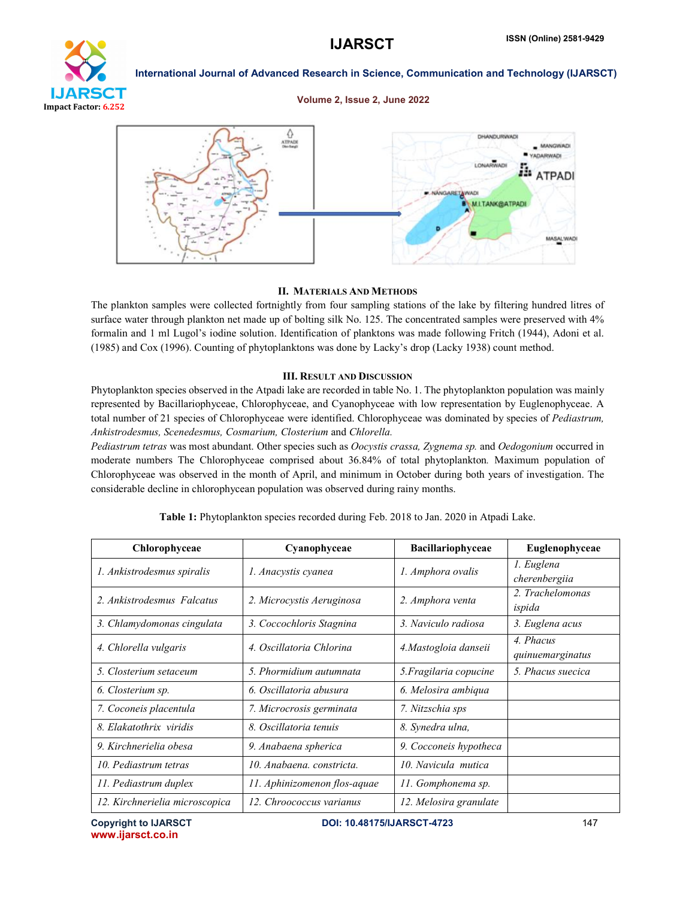# **IJARSCT** Impact Factor: 6.252

International Journal of Advanced Research in Science, Communication and Technology (IJARSCT)

### Volume 2, Issue 2, June 2022



### II. MATERIALS AND METHODS

The plankton samples were collected fortnightly from four sampling stations of the lake by filtering hundred litres of surface water through plankton net made up of bolting silk No. 125. The concentrated samples were preserved with 4% formalin and 1 ml Lugol's iodine solution. Identification of planktons was made following Fritch (1944), Adoni et al. (1985) and Cox (1996). Counting of phytoplanktons was done by Lacky's drop (Lacky 1938) count method.

### III. RESULT AND DISCUSSION

Phytoplankton species observed in the Atpadi lake are recorded in table No. 1. The phytoplankton population was mainly represented by Bacillariophyceae, Chlorophyceae, and Cyanophyceae with low representation by Euglenophyceae. A total number of 21 species of Chlorophyceae were identified. Chlorophyceae was dominated by species of *Pediastrum, Ankistrodesmus, Scenedesmus, Cosmarium, Closterium* and *Chlorella.*

*Pediastrum tetras* was most abundant. Other species such as *Oocystis crassa, Zygnema sp.* and *Oedogonium* occurred in moderate numbers The Chlorophyceae comprised about 36.84% of total phytoplankton*.* Maximum population of Chlorophyceae was observed in the month of April, and minimum in October during both years of investigation. The considerable decline in chlorophycean population was observed during rainy months.

| Chlorophyceae                  | Cyanophyceae                 | <b>Bacillariophyceae</b> | Euglenophyceae                |
|--------------------------------|------------------------------|--------------------------|-------------------------------|
| 1. Ankistrodesmus spiralis     | 1. Anacystis cyanea          | 1. Amphora ovalis        | 1. Euglena<br>cherenbergiia   |
| 2. Ankistrodesmus Falcatus     | 2. Microcystis Aeruginosa    | 2. Amphora venta         | 2. Trachelomonas<br>ispida    |
| 3. Chlamydomonas cingulata     | 3. Coccochloris Stagnina     | 3. Naviculo radiosa      | 3. Euglena acus               |
| 4. Chlorella vulgaris          | 4. Oscillatoria Chlorina     | 4. Mastogloia danseii    | 4. Phacus<br>quinuemarginatus |
| 5. Closterium setaceum         | 5. Phormidium autumnata      | 5. Fragilaria copucine   | 5. Phacus suecica             |
| 6. Closterium sp.              | 6. Oscillatoria abusura      | 6. Melosira ambiqua      |                               |
| 7. Coconeis placentula         | 7. Microcrosis germinata     | 7. Nitzschia sps         |                               |
| 8. Elakatothrix viridis        | 8. Oscillatoria tenuis       | 8. Synedra ulna,         |                               |
| 9. Kirchnerielia obesa         | 9. Anabaena spherica         | 9. Cocconeis hypotheca   |                               |
| 10. Pediastrum tetras          | 10. Anabaena, constricta.    | 10. Navicula mutica      |                               |
| 11. Pediastrum duplex          | 11. Aphinizomenon flos-aquae | 11. Gomphonema sp.       |                               |
| 12. Kirchnerielia microscopica | 12. Chroococcus varianus     | 12. Melosira granulate   |                               |

Table 1: Phytoplankton species recorded during Feb. 2018 to Jan. 2020 in Atpadi Lake.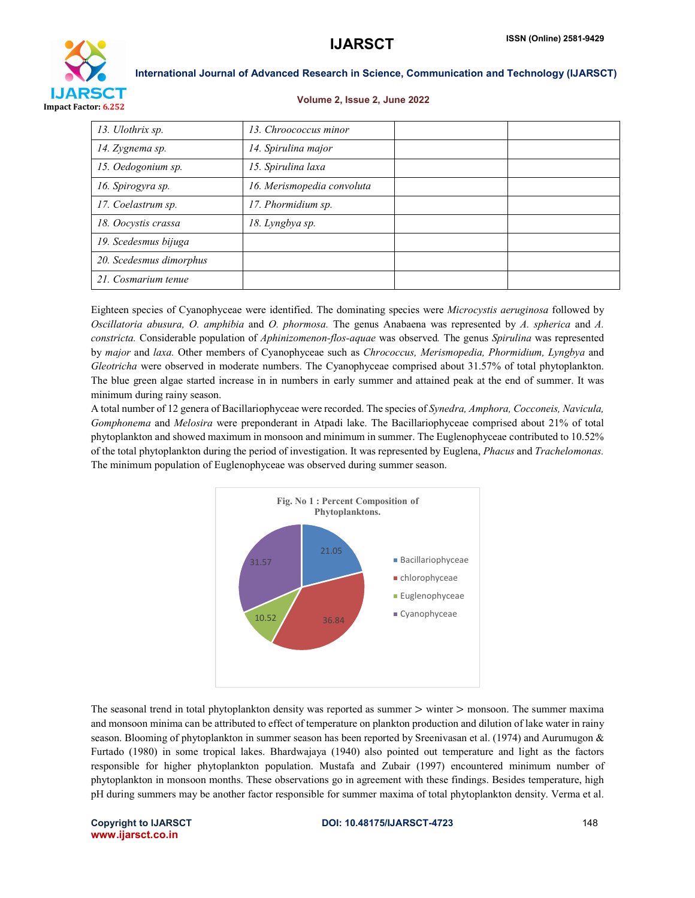

### Volume 2, Issue 2, June 2022

| 13. Ulothrix sp.        | 13. Chroococcus minor      |  |
|-------------------------|----------------------------|--|
| 14. Zygnema sp.         | 14. Spirulina major        |  |
| 15. Oedogonium sp.      | 15. Spirulina laxa         |  |
| 16. Spirogyra sp.       | 16. Merismopedia convoluta |  |
| 17. Coelastrum sp.      | 17. Phormidium sp.         |  |
| 18. Oocystis crassa     | 18. Lyngbya sp.            |  |
| 19. Scedesmus bijuga    |                            |  |
| 20. Scedesmus dimorphus |                            |  |
| 21. Cosmarium tenue     |                            |  |

Eighteen species of Cyanophyceae were identified. The dominating species were *Microcystis aeruginosa* followed by *Oscillatoria abusura, O. amphibia* and *O. phormosa.* The genus Anabaena was represented by *A. spherica* and *A. constricta.* Considerable population of *Aphinizomenon-flos-aquae* was observed*.* The genus *Spirulina* was represented by *major* and *laxa.* Other members of Cyanophyceae such as *Chrococcus, Merismopedia, Phormidium, Lyngbya* and *Gleotricha* were observed in moderate numbers. The Cyanophyceae comprised about 31.57% of total phytoplankton. The blue green algae started increase in in numbers in early summer and attained peak at the end of summer. It was minimum during rainy season.

A total number of 12 genera of Bacillariophyceae were recorded. The species of *Synedra, Amphora, Cocconeis, Navicula, Gomphonema* and *Melosira* were preponderant in Atpadi lake. The Bacillariophyceae comprised about 21% of total phytoplankton and showed maximum in monsoon and minimum in summer. The Euglenophyceae contributed to 10.52% of the total phytoplankton during the period of investigation. It was represented by Euglena, *Phacus* and *Trachelomonas.*  The minimum population of Euglenophyceae was observed during summer season.



The seasonal trend in total phytoplankton density was reported as summer  $>$  winter  $>$  monsoon. The summer maxima and monsoon minima can be attributed to effect of temperature on plankton production and dilution of lake water in rainy season. Blooming of phytoplankton in summer season has been reported by Sreenivasan et al. (1974) and Aurumugon & Furtado (1980) in some tropical lakes. Bhardwajaya (1940) also pointed out temperature and light as the factors responsible for higher phytoplankton population. Mustafa and Zubair (1997) encountered minimum number of phytoplankton in monsoon months. These observations go in agreement with these findings. Besides temperature, high pH during summers may be another factor responsible for summer maxima of total phytoplankton density. Verma et al.

www.ijarsct.co.in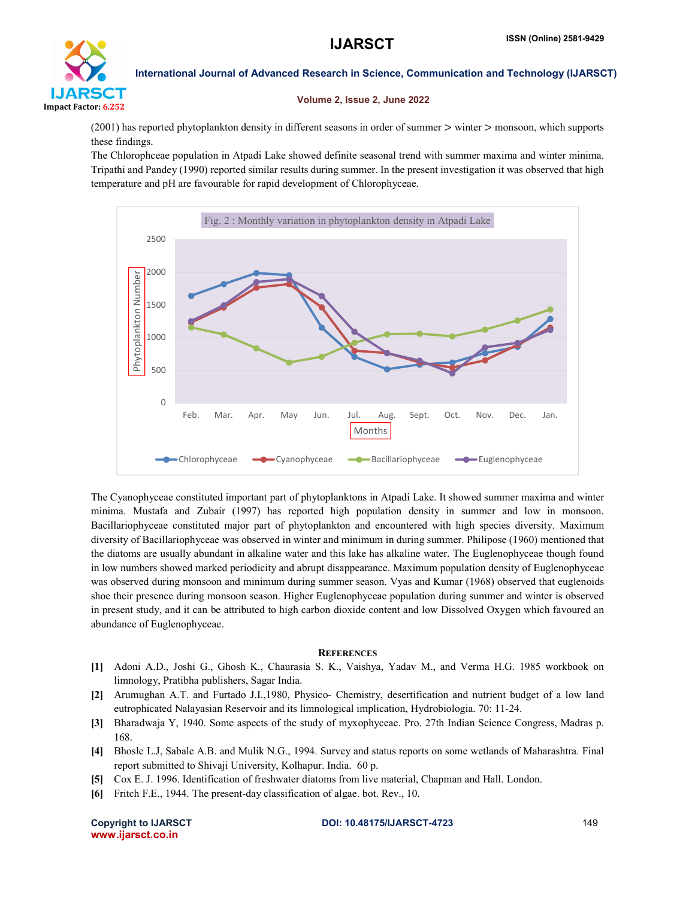

### Volume 2, Issue 2, June 2022

(2001) has reported phytoplankton density in different seasons in order of summer > winter > monsoon, which supports these findings.

The Chlorophceae population in Atpadi Lake showed definite seasonal trend with summer maxima and winter minima. Tripathi and Pandey (1990) reported similar results during summer. In the present investigation it was observed that high temperature and pH are favourable for rapid development of Chlorophyceae.



The Cyanophyceae constituted important part of phytoplanktons in Atpadi Lake. It showed summer maxima and winter minima. Mustafa and Zubair (1997) has reported high population density in summer and low in monsoon. Bacillariophyceae constituted major part of phytoplankton and encountered with high species diversity. Maximum diversity of Bacillariophyceae was observed in winter and minimum in during summer. Philipose (1960) mentioned that the diatoms are usually abundant in alkaline water and this lake has alkaline water. The Euglenophyceae though found in low numbers showed marked periodicity and abrupt disappearance. Maximum population density of Euglenophyceae was observed during monsoon and minimum during summer season. Vyas and Kumar (1968) observed that euglenoids shoe their presence during monsoon season. Higher Euglenophyceae population during summer and winter is observed in present study, and it can be attributed to high carbon dioxide content and low Dissolved Oxygen which favoured an abundance of Euglenophyceae.

### **REFERENCES**

- [1] Adoni A.D., Joshi G., Ghosh K., Chaurasia S. K., Vaishya, Yadav M., and Verma H.G. 1985 workbook on limnology, Pratibha publishers, Sagar India.
- [2] Arumughan A.T. and Furtado J.I.,1980, Physico- Chemistry, desertification and nutrient budget of a low land eutrophicated Nalayasian Reservoir and its limnological implication, Hydrobiologia. 70: 11-24.
- [3] Bharadwaja Y, 1940. Some aspects of the study of myxophyceae. Pro. 27th Indian Science Congress, Madras p. 168.
- [4] Bhosle L.J, Sabale A.B. and Mulik N.G., 1994. Survey and status reports on some wetlands of Maharashtra. Final report submitted to Shivaji University, Kolhapur. India. 60 p.
- [5] Cox E. J. 1996. Identification of freshwater diatoms from live material, Chapman and Hall. London.
- [6] Fritch F.E., 1944. The present-day classification of algae. bot. Rev., 10.

www.ijarsct.co.in

### Copyright to IJARSCT **DOI: 10.48175/IJARSCT-4723** 149